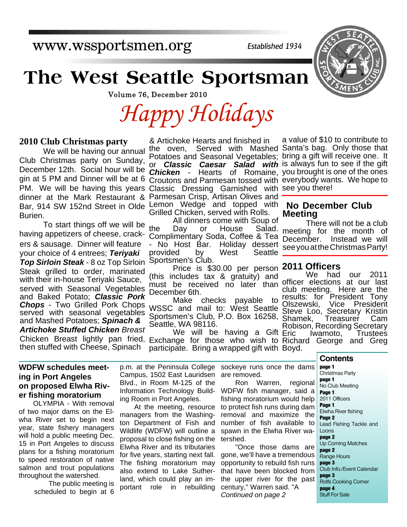www.wssportsmen.org

*Established 1934*

## **The West Seattle Sportsman**

Volume 76, December 2010

*Happy Holidays*

#### **2010 Club Christmas party**

 We will be having our annual Club Christmas party on Sunday, December 12th. Social hour will be gin at 5 PM and Dinner will be at 6 PM. We will be having this years dinner at the Mark Restaurant & Burien.

 To start things off we will be having appetizers of cheese, crackers & sausage. Dinner will feature your choice of 4 entrees; *Teriyaki Top Sirloin Steak* - 8 oz Top Sirloin Steak grilled to order, marinated with their in-house Teriyaki Sauce, served with Seasonal Vegetables and Baked Potato; *Classic Pork Chops* - Two Grilled Pork Chops served with seasonal vegetables and Mashed Potatoes; *Spinach & Artichoke Stuffed Chicken Breast* then stuffed with Cheese, Spinach

& Artichoke Hearts and finished in the oven, Served with Mashed Santa's bag. Only those that Potatoes and Seasonal Vegetables; bring a gift will receive one. It or *Classic Caesar Salad with* is always fun to see if the gift *Chicken* - Hearts of Romaine, you brought is one of the ones Croutons and Parmesan tossed with everybody wants. We hope to Classic Dressing Garnished with see you there! Parmesan Crisp, Artisan Olives and Bar, 914 SW 152nd Street in Olde Lemon Wedge and topped with Grilled Chicken, served with Rolls.

All dinners come with Soup of<br>the Day or House Salad. Day or House Salad. Complimentary Soda, Coffee & Tea No Host Bar. Holiday dessert provided by West Seattle Sportsmen's Club.

 Price is \$30.00 per person **2011 Officers** (this includes tax & gratuity) and must be received no later than December 6th.

 Make checks payable to WSSC and mail to: West Seattle Sportsmen's Club, P.O. Box 16258, Seattle, WA 98116.

We will be having a Gift Eric Exchange for those who wish to participate. Bring a wrapped gift with Boyd. Chicken Breast lightly pan fried, Exchange for those who wish to Richard George and Greg

a value of \$10 to contribute to

#### **No December Club Meeting**

 There will not be a club meeting for the month of December. Instead we will see you at the Christmas Party!

We had our 2011 officer elections at our last club meeting. Here are the results: for President Tony<br>Olszewski, Vice President Olszewski, Steve Loo, Secretary Kristin<br>Shamek, Treasurer Cam Shamek, Treasurer Cam Robison, Recording Secretary<br>Eric lwamoto, Trustees Eric Iwamoto, Trustees

#### **WDFW schedules meeting in Port Angeles on proposed Elwha River fishing moratorium**

OLYMPIA - With removal of two major dams on the Elwha River set to begin next year, state fishery managers will hold a public meeting Dec. 15 in Port Angeles to discuss plans for a fishing moratorium to speed restoration of native salmon and trout populations throughout the watershed.

> The public meeting is scheduled to begin at 6

p.m. at the Peninsula College Campus, 1502 East Lauridsen Blvd., in Room M-125 of the Information Technology Building Room in Port Angeles.

At the meeting, resource managers from the Washington Department of Fish and Wildlife (WDFW) will outline a proposal to close fishing on the Elwha River and its tributaries for five years, starting next fall. The fishing moratorium may also extend to Lake Sutherland, which could play an important role in rebuilding

sockeye runs once the dams are removed.

Ron Warren, regional WDFW fish manager, said a fishing moratorium would help to protect fish runs during dam removal and maximize the number of fish available to spawn in the Elwha River watershed.

"Once those dams are gone, we'll have a tremendous opportunity to rebuild fish runs that have been blocked from the upper river for the past century," Warren said. "A *Continued on page 2*

**Contents**

**page 1** Christmas Party **page 1** No Club Meeting **Page 1** 2011 Officers **Page 1** Elwha River fishing **Page 2** Lead Fishing Tackle and Loons **page 2** Up Coming Matches **page 2** Range Hours **page 3** Club Info./Event Calendar **page 3** Rolfs Cooking Corner **page 4** Stuff For Sale

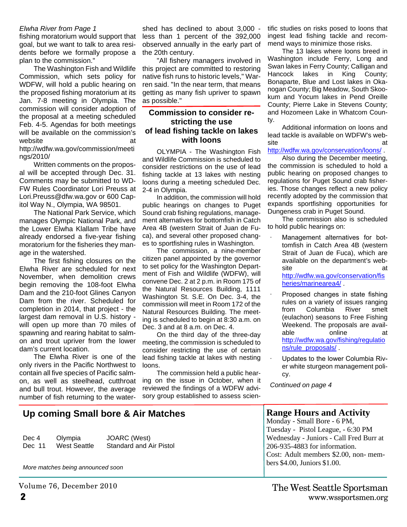#### *Elwha River from Page 1*

fishing moratorium would support that goal, but we want to talk to area residents before we formally propose a plan to the commission."

The Washington Fish and Wildlife Commission, which sets policy for WDFW, will hold a public hearing on the proposed fishing moratorium at its Jan. 7-8 meeting in Olympia. The commission will consider adoption of the proposal at a meeting scheduled Feb. 4-5. Agendas for both meetings will be available on the commission's website at at a method of the set of the set of the set of the set of the set of the set of the set of the set of the set of the set of the set of the set of the set of the set of the set of the set of the set of the set o http://wdfw.wa.gov/commission/meeti ngs/2010/

Written comments on the proposal will be accepted through Dec. 31. Comments may be submitted to WD-FW Rules Coordinator Lori Preuss at Lori.Preuss@dfw.wa.gov or 600 Capitol Way N., Olympia, WA 98501.

The National Park Service, which manages Olympic National Park, and the Lower Elwha Klallam Tribe have already endorsed a five-year fishing moratorium for the fisheries they manage in the watershed.

The first fishing closures on the Elwha River are scheduled for next November, when demolition crews begin removing the 108-foot Elwha Dam and the 210-foot Glines Canyon Dam from the river. Scheduled for completion in 2014, that project - the largest dam removal in U.S. history will open up more than 70 miles of spawning and rearing habitat to salmon and trout upriver from the lower dam's current location.

The Elwha River is one of the only rivers in the Pacific Northwest to contain all five species of Pacific salmon, as well as steelhead, cutthroat and bull trout. However, the average number of fish returning to the water-

shed has declined to about 3,000 less than 1 percent of the 392,000 observed annually in the early part of the 20th century.

"All fishery managers involved in this project are committed to restoring native fish runs to historic levels," Warren said. "In the near term, that means getting as many fish upriver to spawn as possible."

#### **Commission to consider restricting the use of lead fishing tackle on lakes with loons**

OLYMPIA - The Washington Fish and Wildlife Commission is scheduled to consider restrictions on the use of lead fishing tackle at 13 lakes with nesting loons during a meeting scheduled Dec. 2-4 in Olympia.

In addition, the commission will hold public hearings on changes to Puget Sound crab fishing regulations, management alternatives for bottomfish in Catch Area 4B (western Strait of Juan de Fuca), and several other proposed changes to sportfishing rules in Washington.

The commission, a nine-member citizen panel appointed by the governor to set policy for the Washington Department of Fish and Wildlife (WDFW), will convene Dec. 2 at 2 p.m. in Room 175 of the Natural Resources Building, 1111 Washington St. S.E. On Dec. 3-4, the commission will meet in Room 172 of the Natural Resources Building. The meeting is scheduled to begin at 8:30 a.m. on Dec. 3 and at 8 a.m. on Dec. 4.

On the third day of the three-day meeting, the commission is scheduled to consider restricting the use of certain lead fishing tackle at lakes with nesting loons.

The commission held a public hearing on the issue in October, when it reviewed the findings of a WDFW advisory group established to assess scientific studies on risks posed to loons that ingest lead fishing tackle and recommend ways to minimize those risks.

The 13 lakes where loons breed in Washington include Ferry, Long and Swan lakes in Ferry County; Calligan and Hancock lakes in King County; Bonaparte, Blue and Lost lakes in Okanogan County; Big Meadow, South Skookum and Yocum lakes in Pend Oreille County; Pierre Lake in Stevens County; and Hozomeen Lake in Whatcom County.

Additional information on loons and lead tackle is available on WDFW's website and a structure at a structure  $\alpha$ 

#### http://wdfw.wa.gov/conservation/loons/ .

Also during the December meeting, the commission is scheduled to hold a public hearing on proposed changes to regulations for Puget Sound crab fisheries. Those changes reflect a new policy recently adopted by the commission that expands sportfishing opportunities for Dungeness crab in Puget Sound.

The commission also is scheduled to hold public hearings on:

- ∙ Management alternatives for bottomfish in Catch Area 4B (western Strait of Juan de Fuca), which are available on the department's website at a structure at a structure  $\alpha$ http://wdfw.wa.gov/conservation/fis heries/marinearea4/ .
- ∙ Proposed changes in state fishing rules on a variety of issues ranging from Columbia River smelt (eulachon) seasons to Free Fishing Weekend. The proposals are available online at http://wdfw.wa.gov/fishing/regulatio ns/rule\_proposals/ .
- ∙ Updates to the lower Columbia River white sturgeon management policy.

**Range Hours and Activity** Monday - Small Bore - 6 PM, Tuesday - Pistol League, - 6:30 PM Wednesday - Juniors - Call Fred Burr at

Cost: Adult members \$2.00, non- mem-

206-935-4883 for information.

bers \$4.00, Juniors \$1.00.

*Continued on page 4*

#### **Up coming Small bore & Air Matches**

Dec 4 Olympia JOARC (West) Dec 11 West Seattle Standard and Air Pistol

*More matches being announced soon*

Volume 76, December 2010

**2** www.wssportsmen.org The West Seattle Sportsman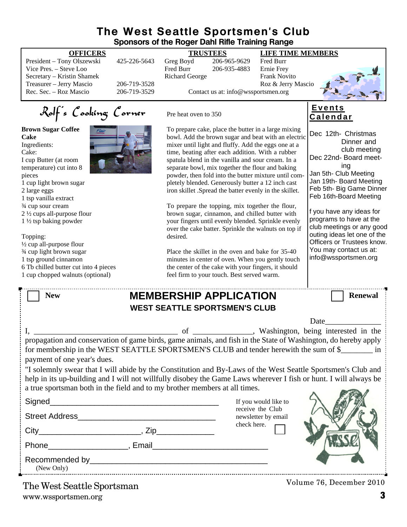#### **The West Seattle Sportsmen's Club Sponsors of the Roger Dahl Rifle Training Range**

| Sponsors of the Roger Dahl Rifle Training Range                                                                                                                                                         |              |                                             |                                                                                                         |                                                      |                                                          |
|---------------------------------------------------------------------------------------------------------------------------------------------------------------------------------------------------------|--------------|---------------------------------------------|---------------------------------------------------------------------------------------------------------|------------------------------------------------------|----------------------------------------------------------|
| <b>OFFICERS</b>                                                                                                                                                                                         |              | <b>TRUSTEES</b><br><b>LIFE TIME MEMBERS</b> |                                                                                                         |                                                      |                                                          |
| President - Tony Olszewski                                                                                                                                                                              | 425-226-5643 | Greg Boyd                                   | 206-965-9629                                                                                            | Fred Burr                                            |                                                          |
| Vice Pres. - Steve Loo<br>Secretary - Kristin Shamek                                                                                                                                                    |              | Fred Burr<br><b>Richard George</b>          | 206-935-4883                                                                                            | Ernie Frey<br>Frank Novito                           |                                                          |
| Treasurer - Jerry Mascio                                                                                                                                                                                | 206-719-3528 |                                             |                                                                                                         | Roz & Jerry Mascio                                   |                                                          |
| Rec. Sec. - Roz Mascio                                                                                                                                                                                  | 206-719-3529 |                                             | Contact us at: info@wssportsmen.org                                                                     |                                                      |                                                          |
|                                                                                                                                                                                                         |              |                                             |                                                                                                         |                                                      |                                                          |
| Rolf's Cooking Corner                                                                                                                                                                                   |              | Pre heat oven to 350                        |                                                                                                         |                                                      | <b>Events</b><br><u>Calendar</u>                         |
| <b>Brown Sugar Coffee</b>                                                                                                                                                                               |              |                                             |                                                                                                         | To prepare cake, place the butter in a large mixing  | Dec 12th- Christmas                                      |
| Cake                                                                                                                                                                                                    |              |                                             |                                                                                                         | bowl. Add the brown sugar and beat with an electric  | Dinner and                                               |
| Ingredients:<br>Cake:                                                                                                                                                                                   |              |                                             | mixer until light and fluffy. Add the eggs one at a<br>time, beating after each addition. With a rubber |                                                      | club meeting                                             |
| I cup Butter (at room                                                                                                                                                                                   |              |                                             | spatula blend in the vanilla and sour cream. In a                                                       |                                                      | Dec 22nd- Board meet-                                    |
| temperature) cut into 8                                                                                                                                                                                 |              |                                             | separate bowl, mix together the flour and baking                                                        |                                                      | ing                                                      |
| pieces                                                                                                                                                                                                  |              |                                             |                                                                                                         | powder, then fold into the butter mixture until com- | Jan 5th- Club Meeting                                    |
| 1 cup light brown sugar                                                                                                                                                                                 |              |                                             | pletely blended. Generously butter a 12 inch cast                                                       |                                                      | Jan 19th- Board Meeting<br>Feb 5th- Big Game Dinner      |
| 2 large eggs                                                                                                                                                                                            |              |                                             | iron skillet. Spread the batter evenly in the skillet.                                                  |                                                      | Feb 16th-Board Meeting                                   |
| 1 tsp vanilla extract<br>3/4 cup sour cream                                                                                                                                                             |              |                                             | To prepare the topping, mix together the flour,                                                         |                                                      |                                                          |
| 2 1/2 cups all-purpose flour                                                                                                                                                                            |              |                                             | brown sugar, cinnamon, and chilled butter with                                                          |                                                      | f you have any ideas for                                 |
| $1\frac{1}{2}$ tsp baking powder                                                                                                                                                                        |              |                                             | your fingers until evenly blended. Sprinkle evenly                                                      |                                                      | programs to have at the                                  |
|                                                                                                                                                                                                         |              |                                             |                                                                                                         | over the cake batter. Sprinkle the walnuts on top if | club meetings or any good<br>outing ideas let one of the |
| Topping:                                                                                                                                                                                                |              | desired.                                    |                                                                                                         |                                                      | Officers or Trustees know.                               |
| 1/2 cup all-purpose flour<br>3⁄4 cup light brown sugar                                                                                                                                                  |              |                                             | Place the skillet in the oven and bake for 35-40                                                        |                                                      | You may contact us at:                                   |
| 1 tsp ground cinnamon                                                                                                                                                                                   |              |                                             | minutes in center of oven. When you gently touch                                                        |                                                      | info@wssportsmen.org                                     |
| 6 Tb chilled butter cut into 4 pieces                                                                                                                                                                   |              |                                             | the center of the cake with your fingers, it should                                                     |                                                      |                                                          |
| 1 cup chopped walnuts (optional)                                                                                                                                                                        |              |                                             | feel firm to your touch. Best served warm.                                                              |                                                      |                                                          |
|                                                                                                                                                                                                         |              |                                             |                                                                                                         |                                                      |                                                          |
| <b>MEMBERSHIP APPLICATION</b><br><b>Renewal</b><br><b>New</b>                                                                                                                                           |              |                                             |                                                                                                         |                                                      |                                                          |
| <b>WEST SEATTLE SPORTSMEN'S CLUB</b>                                                                                                                                                                    |              |                                             |                                                                                                         |                                                      |                                                          |
|                                                                                                                                                                                                         |              |                                             |                                                                                                         |                                                      | Date                                                     |
|                                                                                                                                                                                                         |              | of                                          |                                                                                                         |                                                      | _, Washington, being interested in the                   |
| propagation and conservation of game birds, game animals, and fish in the State of Washington, do hereby apply<br>for membership in the WEST SEATTLE SPORTSMEN'S CLUB and tender herewith the sum of \$ |              |                                             |                                                                                                         |                                                      |                                                          |
| payment of one year's dues.                                                                                                                                                                             |              |                                             |                                                                                                         |                                                      |                                                          |
| "I solemnly swear that I will abide by the Constitution and By-Laws of the West Seattle Sportsmen's Club and                                                                                            |              |                                             |                                                                                                         |                                                      |                                                          |
| help in its up-building and I will not willfully disobey the Game Laws wherever I fish or hunt. I will always be                                                                                        |              |                                             |                                                                                                         |                                                      |                                                          |
| a true sportsman both in the field and to my brother members at all times.                                                                                                                              |              |                                             |                                                                                                         |                                                      |                                                          |
|                                                                                                                                                                                                         |              |                                             |                                                                                                         |                                                      |                                                          |
|                                                                                                                                                                                                         |              |                                             |                                                                                                         | If you would like to<br>receive the Club             |                                                          |
|                                                                                                                                                                                                         |              |                                             |                                                                                                         | newsletter by email                                  |                                                          |
|                                                                                                                                                                                                         |              |                                             | check here.                                                                                             |                                                      |                                                          |
|                                                                                                                                                                                                         |              |                                             |                                                                                                         |                                                      |                                                          |
|                                                                                                                                                                                                         |              |                                             |                                                                                                         |                                                      |                                                          |
| (New Only)                                                                                                                                                                                              |              |                                             |                                                                                                         |                                                      |                                                          |
| The West Seattle Sportsman                                                                                                                                                                              |              |                                             |                                                                                                         |                                                      | Volume 76, December 2010                                 |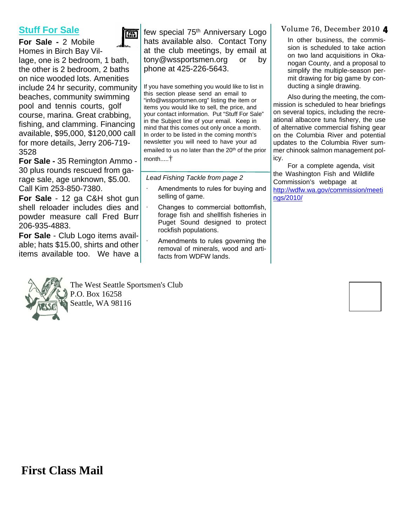### **Stuff For Sale**



**For Sale -** 2 Mobile Homes in Birch Bay Village, one is 2 bedroom, 1 bath, the other is 2 bedroom, 2 baths on nice wooded lots. Amenities include 24 hr security, community beaches, community swimming pool and tennis courts, golf course, marina. Great crabbing, fishing, and clamming. Financing available, \$95,000, \$120,000 call for more details, Jerry 206-719- 3528

**For Sale -** 35 Remington Ammo - 30 plus rounds rescued from garage sale, age unknown, \$5.00. Call Kim 253-850-7380.

**For Sale** - 12 ga C&H shot gun shell reloader includes dies and powder measure call Fred Burr 206-935-4883.

**For Sale** - Club Logo items available; hats \$15.00, shirts and other items available too. We have a



The West Seattle Sportsmen's Club P.O. Box 16258 Seattle, WA 98116

few special 75<sup>th</sup> Anniversary Logo hats available also. Contact Tony at the club meetings, by email at tony@wssportsmen.org or by phone at 425-226-5643.

If you have something you would like to list in this section please send an email to "info@wssportsmen.org" listing the item or items you would like to sell, the price, and your contact information. Put "Stuff For Sale" in the Subject line of your email. Keep in mind that this comes out only once a month. In order to be listed in the coming month's newsletter you will need to have your ad emailed to us no later than the 20<sup>th</sup> of the prior month.....†

*Lead Fishing Tackle from page 2*

- ∙ Amendments to rules for buying and selling of game.
- ∙ Changes to commercial bottomfish, forage fish and shellfish fisheries in Puget Sound designed to protect rockfish populations.
	- ∙ Amendments to rules governing the removal of minerals, wood and artifacts from WDFW lands.

Volume 76, December 2010 4

In other business, the commission is scheduled to take action on two land acquisitions in Okanogan County, and a proposal to simplify the multiple-season permit drawing for big game by conducting a single drawing.

Also during the meeting, the commission is scheduled to hear briefings on several topics, including the recreational albacore tuna fishery, the use of alternative commercial fishing gear on the Columbia River and potential updates to the Columbia River summer chinook salmon management policy.

For a complete agenda, visit the Washington Fish and Wildlife Commission's webpage at http://wdfw.wa.gov/commission/meeti ngs/2010/

**First Class Mail**